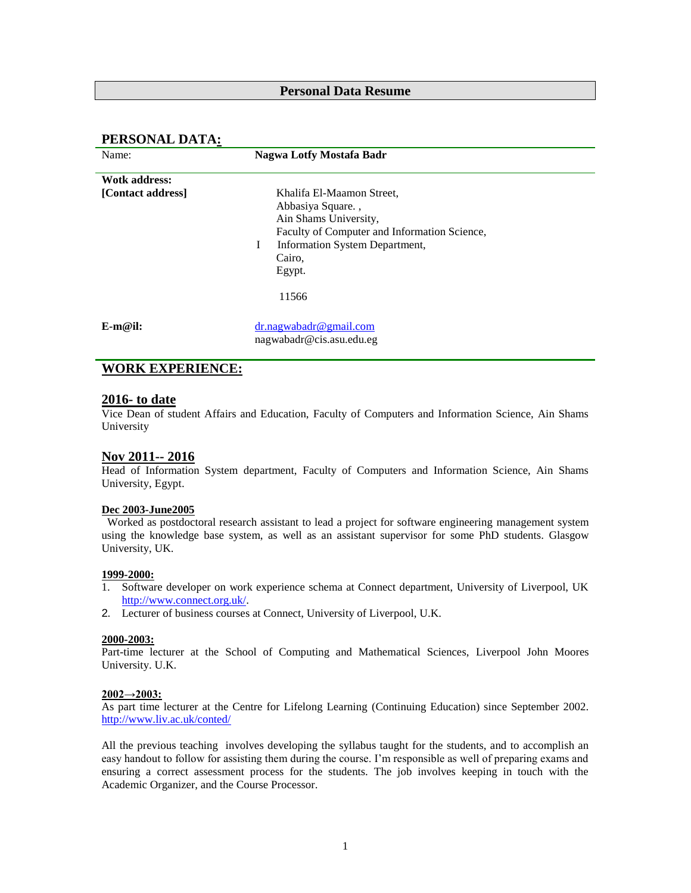### **Personal Data Resume**

### **PERSONAL DATA:**

| Name:                | <b>Nagwa Lotfy Mostafa Badr</b>                                                                                                                                                    |
|----------------------|------------------------------------------------------------------------------------------------------------------------------------------------------------------------------------|
| <b>Wotk address:</b> |                                                                                                                                                                                    |
| [Contact address]    | Khalifa El-Maamon Street,<br>Abbasiya Square.,<br>Ain Shams University,<br>Faculty of Computer and Information Science,<br>Information System Department,<br>L<br>Cairo,<br>Egypt. |
|                      | 11566                                                                                                                                                                              |
| $E-m@il:$            | $dr$ .nagwabadr@gmail.com<br>nagwabadr@cis.asu.edu.eg                                                                                                                              |

## **WORK EXPERIENCE:**

#### **2016- to date**

Vice Dean of student Affairs and Education, Faculty of Computers and Information Science, Ain Shams University

#### **Nov 2011-- 2016**

Head of Information System department, Faculty of Computers and Information Science, Ain Shams University, Egypt.

#### **Dec 2003-June2005**

 Worked as postdoctoral research assistant to lead a project for software engineering management system using the knowledge base system, as well as an assistant supervisor for some PhD students. Glasgow University, UK.

#### **1999-2000:**

- 1. Software developer on work experience schema at Connect department, University of Liverpool, UK [http://www.connect.org.uk/.](http://www.connect.org.uk/)
- 2. Lecturer of business courses at Connect, University of Liverpool, U.K.

#### **2000-2003:**

Part-time lecturer at the School of Computing and Mathematical Sciences, Liverpool John Moores University. U.K.

#### **2002→2003:**

As part time lecturer at the Centre for Lifelong Learning (Continuing Education) since September 2002. <http://www.liv.ac.uk/conted/>

All the previous teaching involves developing the syllabus taught for the students, and to accomplish an easy handout to follow for assisting them during the course. I'm responsible as well of preparing exams and ensuring a correct assessment process for the students. The job involves keeping in touch with the Academic Organizer, and the Course Processor.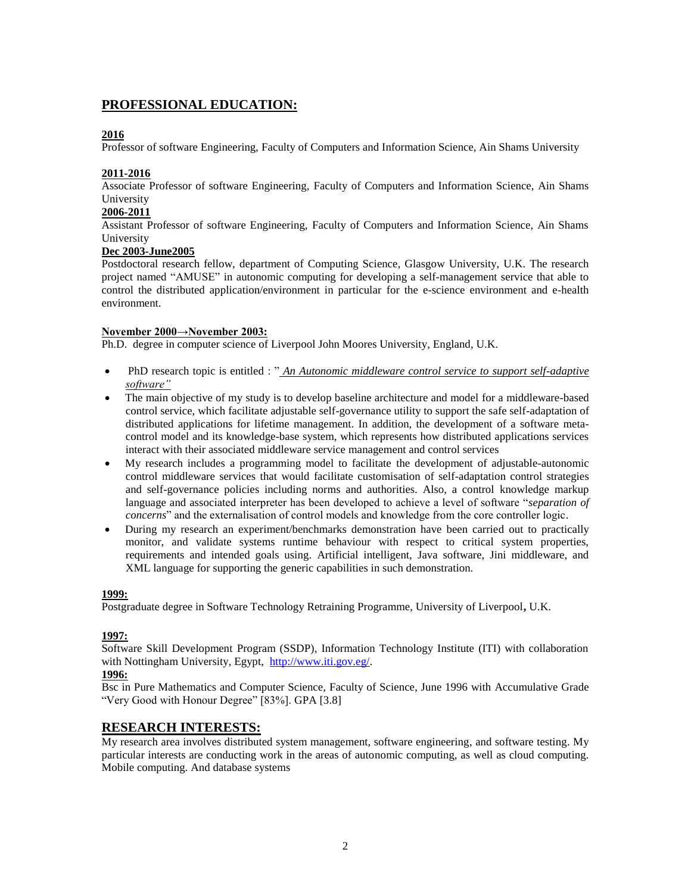## **PROFESSIONAL EDUCATION:**

#### **2016**

Professor of software Engineering, Faculty of Computers and Information Science, Ain Shams University

#### **2011-2016**

Associate Professor of software Engineering, Faculty of Computers and Information Science, Ain Shams University

#### **2006-2011**

Assistant Professor of software Engineering, Faculty of Computers and Information Science, Ain Shams University

### **Dec 2003-June2005**

Postdoctoral research fellow, department of Computing Science, Glasgow University, U.K. The research project named "AMUSE" in autonomic computing for developing a self-management service that able to control the distributed application/environment in particular for the e-science environment and e-health environment.

### **November 2000→November 2003:**

Ph.D. degree in computer science of Liverpool John Moores University, England, U.K.

- PhD research topic is entitled : "<u>An Autonomic middleware control service to support self-adaptive</u> *software"*
- The main objective of my study is to develop baseline architecture and model for a middleware-based control service, which facilitate adjustable self-governance utility to support the safe self-adaptation of distributed applications for lifetime management. In addition, the development of a software metacontrol model and its knowledge-base system, which represents how distributed applications services interact with their associated middleware service management and control services
- My research includes a programming model to facilitate the development of adjustable-autonomic control middleware services that would facilitate customisation of self-adaptation control strategies and self-governance policies including norms and authorities. Also, a control knowledge markup language and associated interpreter has been developed to achieve a level of software "*separation of concerns*" and the externalisation of control models and knowledge from the core controller logic.
- During my research an experiment/benchmarks demonstration have been carried out to practically monitor, and validate systems runtime behaviour with respect to critical system properties, requirements and intended goals using. Artificial intelligent, Java software, Jini middleware, and XML language for supporting the generic capabilities in such demonstration.

#### **1999:**

Postgraduate degree in Software Technology Retraining Programme, University of Liverpool**,** U.K.

#### **1997:**

Software Skill Development Program (SSDP), Information Technology Institute (ITI) with collaboration with Nottingham University, Egypt, [http://www.iti.gov.eg/.](http://www.iti.gov.eg/)

#### **1996:**

Bsc in Pure Mathematics and Computer Science, Faculty of Science, June 1996 with Accumulative Grade "Very Good with Honour Degree" [83%]. GPA [3.8]

### **RESEARCH INTERESTS:**

My research area involves distributed system management, software engineering, and software testing. My particular interests are conducting work in the areas of autonomic computing, as well as cloud computing. Mobile computing. And database systems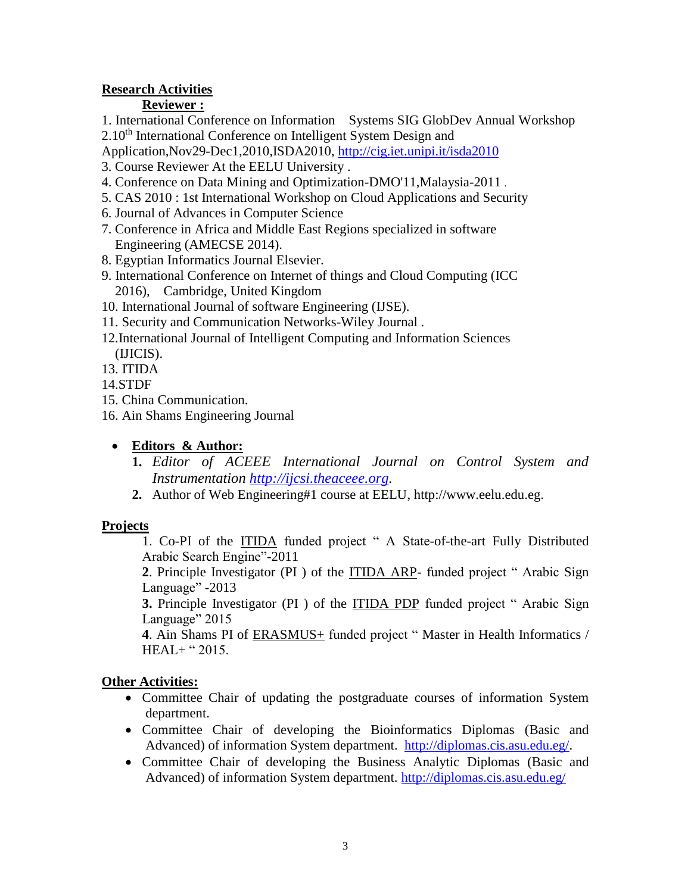## **Research Activities**

## **Reviewer :**

 1. International Conference on Information Systems SIG GlobDev Annual Workshop  $2.10<sup>th</sup>$  International Conference on Intelligent System Design and

Application,Nov29-Dec1,2010,ISDA2010,<http://cig.iet.unipi.it/isda2010>

- 3. Course Reviewer At the EELU University .
- 4. Conference on Data Mining and Optimization-DMO'11,Malaysia-2011 .
- 5. CAS 2010 : 1st International Workshop on Cloud Applications and Security
- 6. Journal of Advances in Computer Science
- 7. Conference in Africa and Middle East Regions specialized in software Engineering (AMECSE 2014).
- 8. Egyptian Informatics Journal Elsevier.
- 9. International Conference on Internet of things and Cloud Computing (ICC 2016), Cambridge, United Kingdom
- 10. International Journal of software Engineering (IJSE).
- 11. Security and Communication Networks-Wiley Journal .
- 12.International Journal of Intelligent Computing and Information Sciences (IJICIS).
- 13. ITIDA

14.STDF

- 15. China Communication.
- 16. Ain Shams Engineering Journal

# **Editors & Author:**

- **1.** *Editor of ACEEE International Journal on Control System and Instrumentation [http://ijcsi.theaceee.org.](http://ijcsi.theaceee.org/)*
- **2.** Author of Web Engineering#1 course at EELU, http://www.eelu.edu.eg.

# **Projects**

1. Co-PI of the ITIDA funded project " A State-of-the-art Fully Distributed Arabic Search Engine"-2011

**2**. Principle Investigator (PI ) of the ITIDA ARP- funded project " Arabic Sign Language" -2013

**3.** Principle Investigator (PI ) of the ITIDA PDP funded project " Arabic Sign Language" 2015

**4**. Ain Shams PI of ERASMUS+ funded project " Master in Health Informatics / HEAL+ " 2015.

# **Other Activities:**

- Committee Chair of updating the postgraduate courses of information System department.
- Committee Chair of developing the Bioinformatics Diplomas (Basic and Advanced) of information System department. [http://diplomas.cis.asu.edu.eg/.](http://diplomas.cis.asu.edu.eg/)
- Committee Chair of developing the Business Analytic Diplomas (Basic and Advanced) of information System department.<http://diplomas.cis.asu.edu.eg/>